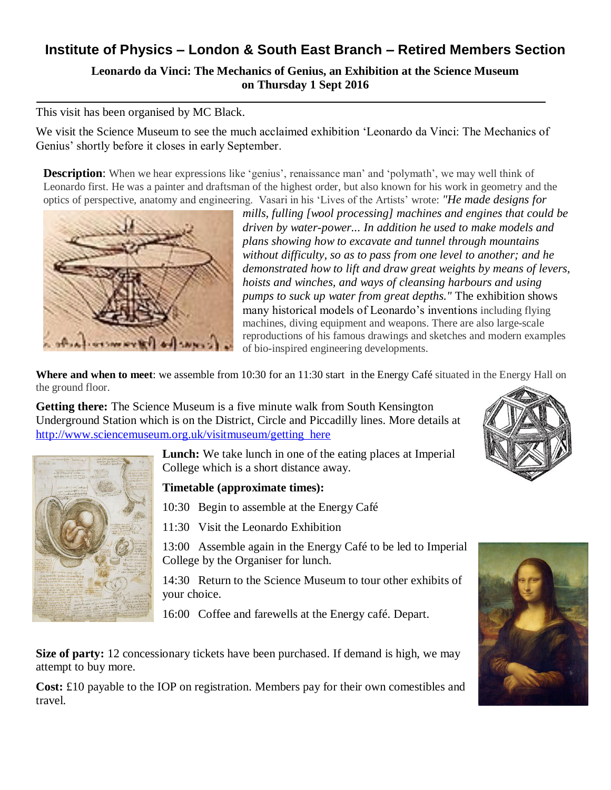## **Institute of Physics – London & South East Branch – Retired Members Section**

**Leonardo da Vinci: The Mechanics of Genius, an Exhibition at the Science Museum on Thursday 1 Sept 2016**

This visit has been organised by MC Black.

We visit the Science Museum to see the much acclaimed exhibition 'Leonardo da Vinci: The Mechanics of Genius' shortly before it closes in early September.

**Description**: When we hear expressions like 'genius', renaissance man' and 'polymath', we may well think of Leonardo first. He was a painter and draftsman of the highest order, but also known for his work in geometry and the optics of perspective, anatomy and engineering. Vasari in his 'Lives of the Artists' wrote: *"He made designs for* 



*mills, fulling [wool processing] machines and engines that could be driven by water-power... In addition he used to make models and plans showing how to excavate and tunnel through mountains without difficulty, so as to pass from one level to another; and he demonstrated how to lift and draw great weights by means of levers, hoists and winches, and ways of cleansing harbours and using pumps to suck up water from great depths."* The exhibition shows many historical models of Leonardo's inventions including flying machines, diving equipment and weapons. There are also large-scale reproductions of his famous drawings and sketches and modern examples of bio-inspired engineering developments.

**Where and when to meet**: we assemble from 10:30 for an 11:30 start in the Energy Café situated in the Energy Hall on the ground floor.

**Getting there:** The Science Museum is a five minute walk from South Kensington Underground Station which is on the District, Circle and Piccadilly lines. More details at [http://www.sciencemuseum.org.uk/visitmuseum/getting\\_here](http://www.sciencemuseum.org.uk/visitmuseum/getting_here)



Lunch: We take lunch in one of the eating places at Imperial College which is a short distance away.

## **Timetable (approximate times):**

10:30 Begin to assemble at the Energy Café

11:30 Visit the Leonardo Exhibition

13:00 Assemble again in the Energy Café to be led to Imperial College by the Organiser for lunch.

14:30 Return to the Science Museum to tour other exhibits of your choice.

16:00 Coffee and farewells at the Energy café. Depart.

**Size of party:** 12 concessionary tickets have been purchased. If demand is high, we may attempt to buy more.

**Cost:** £10 payable to the IOP on registration. Members pay for their own comestibles and travel.